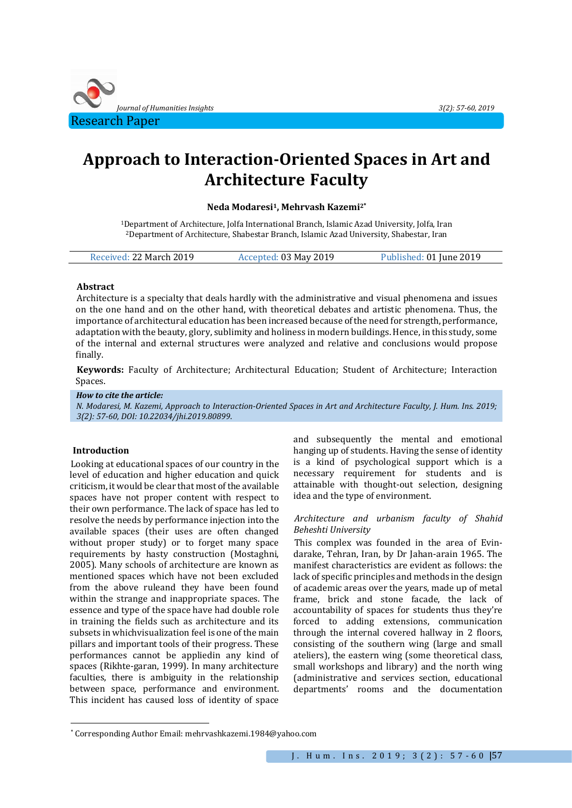

# **Approach to Interaction-Oriented Spaces in Art and Architecture Faculty**

## **Neda Modaresi1, Mehrvash Kazemi2\***

<sup>1</sup>Department of Architecture, Jolfa International Branch, Islamic Azad University, Jolfa, Iran <sup>2</sup>Department of Architecture, Shabestar Branch, Islamic Azad University, Shabestar, Iran

| Received: 22 March 2019 | Accepted: 03 May 2019 | Published: 01 June 2019 |
|-------------------------|-----------------------|-------------------------|
|                         |                       |                         |

#### **Abstract**

Architecture is a specialty that deals hardly with the administrative and visual phenomena and issues on the one hand and on the other hand, with theoretical debates and artistic phenomena. Thus, the importance of architectural education has been increased because of the need for strength, performance, adaptation with the beauty, glory, sublimity and holiness in modern buildings. Hence, in this study, some of the internal and external structures were analyzed and relative and conclusions would propose finally.

**Keywords:** Faculty of Architecture; Architectural Education; Student of Architecture; Interaction Spaces.

*How to cite the article:*

*N. Modaresi, M. Kazemi, Approach to Interaction-Oriented Spaces in Art and Architecture Faculty, J. Hum. Ins. 2019; 3(2): 57-60, DOI: 10.22034/jhi.2019.80899*.

## **Introduction**

 $\overline{a}$ 

Looking at educational spaces of our country in the level of education and higher education and quick criticism, it would be clear that most of the available spaces have not proper content with respect to their own performance. The lack of space has led to resolve the needs by performance injection into the available spaces (their uses are often changed without proper study) or to forget many space requirements by hasty construction (Mostaghni, 2005). Many schools of architecture are known as mentioned spaces which have not been excluded from the above ruleand they have been found within the strange and inappropriate spaces. The essence and type of the space have had double role in training the fields such as architecture and its subsets in whichvisualization feel is one of the main pillars and important tools of their progress. These performances cannot be appliedin any kind of spaces (Rikhte-garan, 1999). In many architecture faculties, there is ambiguity in the relationship between space, performance and environment. This incident has caused loss of identity of space

and subsequently the mental and emotional hanging up of students. Having the sense of identity is a kind of psychological support which is a necessary requirement for students and is attainable with thought-out selection, designing idea and the type of environment.

### *Architecture and urbanism faculty of Shahid Beheshti University*

This complex was founded in the area of Evindarake, Tehran, Iran, by Dr Jahan-arain 1965. The manifest characteristics are evident as follows: the lack of specific principles and methods in the design of academic areas over the years, made up of metal frame, brick and stone facade, the lack of accountability of spaces for students thus they're forced to adding extensions, communication through the internal covered hallway in 2 floors, consisting of the southern wing (large and small ateliers), the eastern wing (some theoretical class, small workshops and library) and the north wing (administrative and services section, educational departments' rooms and the documentation

<sup>\*</sup> Corresponding Author Email: mehrvashkazemi.1984@yahoo.com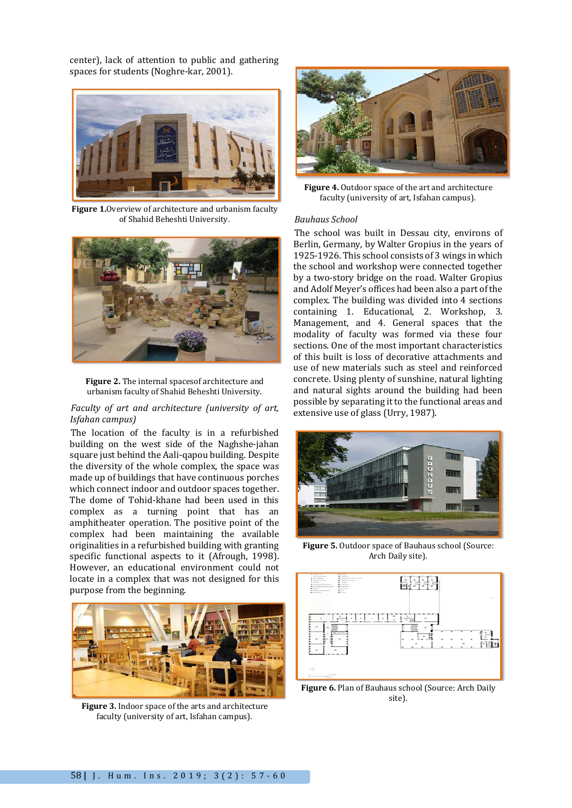center), lack of attention to public and gathering spaces for students (Noghre-kar, 2001).



**Figure 1.**Overview of architecture and urbanism faculty of Shahid Beheshti University.



**Figure 2.** The internal spacesof architecture and urbanism faculty of Shahid Beheshti University.

#### *Faculty of art and architecture (university of art, Isfahan campus)*

The location of the faculty is in a refurbished building on the west side of the Naghshe-jahan square just behind the Aali-qapou building. Despite the diversity of the whole complex, the space was made up of buildings that have continuous porches which connect indoor and outdoor spaces together. The dome of Tohid-khane had been used in this complex as a turning point that has an amphitheater operation. The positive point of the complex had been maintaining the available originalities in a refurbished building with granting specific functional aspects to it (Afrough, 1998). However, an educational environment could not locate in a complex that was not designed for this purpose from the beginning.



**Figure 3.** Indoor space of the arts and architecture faculty (university of art, Isfahan campus).



**Figure 4.** Outdoor space of the art and architecture faculty (university of art, Isfahan campus).

#### *Bauhaus School*

The school was built in Dessau city, environs of Berlin, Germany, by Walter Gropius in the years of 1925-1926. This school consists of 3 wings in which the school and workshop were connected together by a two-story bridge on the road. Walter Gropius and Adolf Meyer's offices had been also a part of the complex. The building was divided into 4 sections containing 1. Educational, 2. Workshop, 3. Management, and 4. General spaces that the modality of faculty was formed via these four sections. One of the most important characteristics of this built is loss of decorative attachments and use of new materials such as steel and reinforced concrete. Using plenty of sunshine, natural lighting and natural sights around the building had been possible by separating it to the functional areas and extensive use of glass (Urry, 1987).



**Figure 5.** Outdoor space of Bauhaus school (Source: Arch Daily site).



**Figure 6.** Plan of Bauhaus school (Source: Arch Daily site).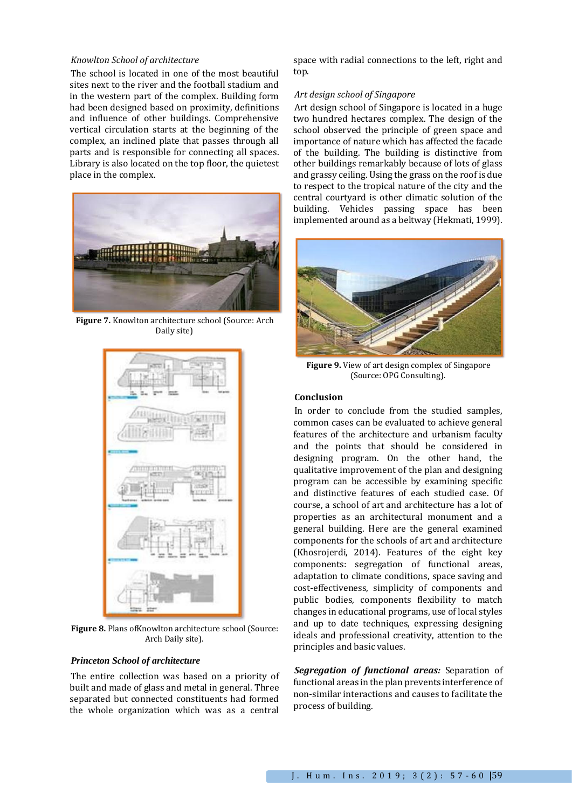#### *Knowlton School of architecture*

The school is located in one of the most beautiful sites next to the river and the football stadium and in the western part of the complex. Building form had been designed based on proximity, definitions and influence of other buildings. Comprehensive vertical circulation starts at the beginning of the complex, an inclined plate that passes through all parts and is responsible for connecting all spaces. Library is also located on the top floor, the quietest place in the complex.



**Figure 7.** Knowlton architecture school (Source: Arch Daily site)



**Figure 8.** Plans ofKnowlton architecture school (Source: Arch Daily site).

#### *Princeton School of architecture*

The entire collection was based on a priority of built and made of glass and metal in general. Three separated but connected constituents had formed the whole organization which was as a central

space with radial connections to the left, right and top.

#### *Art design school of Singapore*

Art design school of Singapore is located in a huge two hundred hectares complex. The design of the school observed the principle of green space and importance of nature which has affected the facade of the building. The building is distinctive from other buildings remarkably because of lots of glass and grassy ceiling. Using the grass on the roof is due to respect to the tropical nature of the city and the central courtyard is other climatic solution of the building. Vehicles passing space has been implemented around as a beltway (Hekmati, 1999).



**Figure 9.** View of art design complex of Singapore (Source: OPG Consulting).

# **Conclusion**

In order to conclude from the studied samples, common cases can be evaluated to achieve general features of the architecture and urbanism faculty and the points that should be considered in designing program. On the other hand, the qualitative improvement of the plan and designing program can be accessible by examining specific and distinctive features of each studied case. Of course, a school of art and architecture has a lot of properties as an architectural monument and a general building. Here are the general examined components for the schools of art and architecture (Khosrojerdi, 2014). Features of the eight key components: segregation of functional areas, adaptation to climate conditions, space saving and cost-effectiveness, simplicity of components and public bodies, components flexibility to match changes in educational programs, use of local styles and up to date techniques, expressing designing ideals and professional creativity, attention to the principles and basic values.

*Segregation of functional areas:* Separation of functional areas in the plan prevents interference of non-similar interactions and causes to facilitate the process of building.